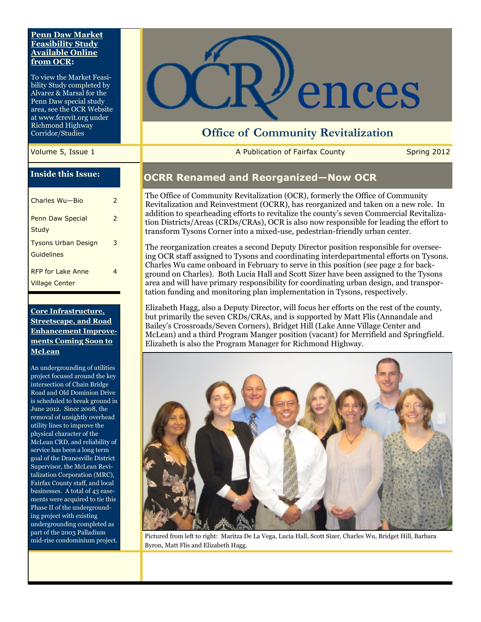#### **Penn Daw Market Feasibility Study Available Online from OCR:**

To view the Market Feasibility Study completed by Alvarez & Marsal for the Penn Daw special study area, see the OCR Website at www.fcrevit.org under Richmond Highway Corridor/Studies

#### **Inside this Issue:**

| Charles Wu-Bio             | 2             |
|----------------------------|---------------|
| Penn Daw Special           | $\mathcal{P}$ |
| Study                      |               |
| <b>Tysons Urban Design</b> | 3             |
| Guidelines                 |               |
| RFP for Lake Anne          | 4             |
| <b>Village Center</b>      |               |

#### **Core Infrastructure, Streetscape, and Road Enhancement Improvements Coming Soon to McLean**

An undergrounding of utilities project focused around the key intersection of Chain Bridge Road and Old Dominion Drive is scheduled to break ground in June 2012. Since 2008, the removal of unsightly overhead utility lines to improve the physical character of the McLean CRD, and reliability of service has been a long term goal of the Dranesville District Supervisor, the McLean Revitalization Corporation (MRC), Fairfax County staff, and local businesses. A total of 43 easements were acquired to tie this Phase II of the undergrounding project with existing undergrounding completed as part of the 2003 Palladium mid-rise condominium project.



# **Office of Community Revitalization**

Volume 5, Issue 1 **A Publication of Fairfax County** Spring 2012

### **OCRR Renamed and Reorganized—Now OCR**

The Office of Community Revitalization (OCR), formerly the Office of Community Revitalization and Reinvestment (OCRR), has reorganized and taken on a new role. In addition to spearheading efforts to revitalize the county's seven Commercial Revitalization Districts/Areas (CRDs/CRAs), OCR is also now responsible for leading the effort to transform Tysons Corner into a mixed-use, pedestrian-friendly urban center.

The reorganization creates a second Deputy Director position responsible for overseeing OCR staff assigned to Tysons and coordinating interdepartmental efforts on Tysons. Charles Wu came onboard in February to serve in this position (see page 2 for background on Charles). Both Lucia Hall and Scott Sizer have been assigned to the Tysons area and will have primary responsibility for coordinating urban design, and transportation funding and monitoring plan implementation in Tysons, respectively.

Elizabeth Hagg, also a Deputy Director, will focus her efforts on the rest of the county, but primarily the seven CRDs/CRAs, and is supported by Matt Flis (Annandale and Bailey's Crossroads/Seven Corners), Bridget Hill (Lake Anne Village Center and McLean) and a third Program Manger position (vacant) for Merrifield and Springfield. Elizabeth is also the Program Manager for Richmond Highway.



Pictured from left to right: Maritza De La Vega, Lucia Hall, Scott Sizer, Charles Wu, Bridget Hill, Barbara Byron, Matt Flis and Elizabeth Hagg.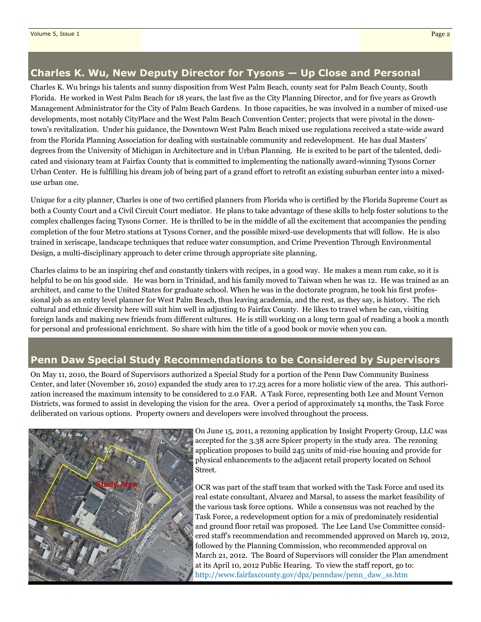## **Charles K. Wu, New Deputy Director for Tysons — Up Close and Personal**

Charles K. Wu brings his talents and sunny disposition from West Palm Beach, county seat for Palm Beach County, South Florida. He worked in West Palm Beach for 18 years, the last five as the City Planning Director, and for five years as Growth Management Administrator for the City of Palm Beach Gardens. In those capacities, he was involved in a number of mixed-use developments, most notably CityPlace and the West Palm Beach Convention Center; projects that were pivotal in the downtown's revitalization. Under his guidance, the Downtown West Palm Beach mixed use regulations received a state-wide award from the Florida Planning Association for dealing with sustainable community and redevelopment. He has dual Masters' degrees from the University of Michigan in Architecture and in Urban Planning. He is excited to be part of the talented, dedicated and visionary team at Fairfax County that is committed to implementing the nationally award-winning Tysons Corner Urban Center. He is fulfilling his dream job of being part of a grand effort to retrofit an existing suburban center into a mixeduse urban one.

Unique for a city planner, Charles is one of two certified planners from Florida who is certified by the Florida Supreme Court as both a County Court and a Civil Circuit Court mediator. He plans to take advantage of these skills to help foster solutions to the complex challenges facing Tysons Corner. He is thrilled to be in the middle of all the excitement that accompanies the pending completion of the four Metro stations at Tysons Corner, and the possible mixed-use developments that will follow. He is also trained in xeriscape, landscape techniques that reduce water consumption, and Crime Prevention Through Environmental Design, a multi-disciplinary approach to deter crime through appropriate site planning.

Charles claims to be an inspiring chef and constantly tinkers with recipes, in a good way. He makes a mean rum cake, so it is helpful to be on his good side. He was born in Trinidad, and his family moved to Taiwan when he was 12. He was trained as an architect, and came to the United States for graduate school. When he was in the doctorate program, he took his first professional job as an entry level planner for West Palm Beach, thus leaving academia, and the rest, as they say, is history. The rich cultural and ethnic diversity here will suit him well in adjusting to Fairfax County. He likes to travel when he can, visiting foreign lands and making new friends from different cultures. He is still working on a long term goal of reading a book a month for personal and professional enrichment. So share with him the title of a good book or movie when you can.

# **Penn Daw Special Study Recommendations to be Considered by Supervisors**

On May 11, 2010, the Board of Supervisors authorized a Special Study for a portion of the Penn Daw Community Business Center, and later (November 16, 2010) expanded the study area to 17.23 acres for a more holistic view of the area. This authorization increased the maximum intensity to be considered to 2.0 FAR. A Task Force, representing both Lee and Mount Vernon Districts, was formed to assist in developing the vision for the area. Over a period of approximately 14 months, the Task Force deliberated on various options. Property owners and developers were involved throughout the process.



On June 15, 2011, a rezoning application by Insight Property Group, LLC was accepted for the 3.38 acre Spicer property in the study area. The rezoning application proposes to build 245 units of mid-rise housing and provide for physical enhancements to the adjacent retail property located on School Street.

OCR was part of the staff team that worked with the Task Force and used its real estate consultant, Alvarez and Marsal, to assess the market feasibility of the various task force options. While a consensus was not reached by the Task Force, a redevelopment option for a mix of predominately residential and ground floor retail was proposed. The Lee Land Use Committee considered staff's recommendation and recommended approved on March 19, 2012, followed by the Planning Commission, who recommended approval on March 21, 2012. The Board of Supervisors will consider the Plan amendment at its April 10, 2012 Public Hearing. To view the staff report, go to: http://www.fairfaxcounty.gov/dpz/penndaw/penn\_daw\_ss.htm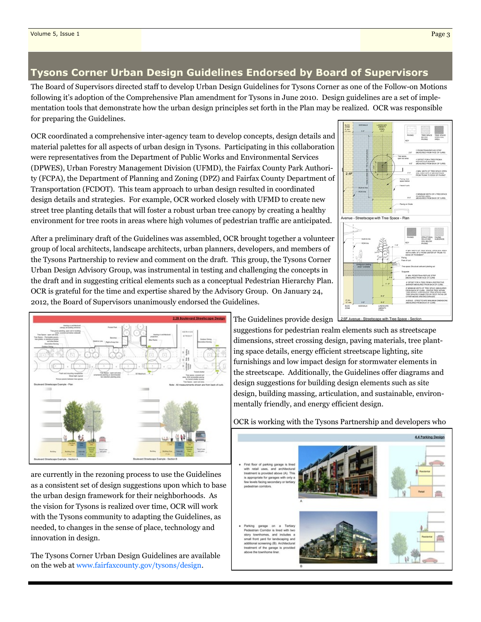## **Tysons Corner Urban Design Guidelines Endorsed by Board of Supervisors**

The Board of Supervisors directed staff to develop Urban Design Guidelines for Tysons Corner as one of the Follow-on Motions following it's adoption of the Comprehensive Plan amendment for Tysons in June 2010. Design guidelines are a set of implementation tools that demonstrate how the urban design principles set forth in the Plan may be realized. OCR was responsible for preparing the Guidelines.

OCR coordinated a comprehensive inter-agency team to develop concepts, design details and material palettes for all aspects of urban design in Tysons. Participating in this collaboration were representatives from the Department of Public Works and Environmental Services (DPWES), Urban Forestry Management Division (UFMD), the Fairfax County Park Authority (FCPA), the Department of Planning and Zoning (DPZ) and Fairfax County Department of Transportation (FCDOT). This team approach to urban design resulted in coordinated design details and strategies. For example, OCR worked closely with UFMD to create new street tree planting details that will foster a robust urban tree canopy by creating a healthy environment for tree roots in areas where high volumes of pedestrian traffic are anticipated.

After a preliminary draft of the Guidelines was assembled, OCR brought together a volunteer group of local architects, landscape architects, urban planners, developers, and members of the Tysons Partnership to review and comment on the draft. This group, the Tysons Corner Urban Design Advisory Group, was instrumental in testing and challenging the concepts in the draft and in suggesting critical elements such as a conceptual Pedestrian Hierarchy Plan. OCR is grateful for the time and expertise shared by the Advisory Group. On January 24, 2012, the Board of Supervisors unanimously endorsed the Guidelines.





are currently in the rezoning process to use the Guidelines as a consistent set of design suggestions upon which to base the urban design framework for their neighborhoods. As the vision for Tysons is realized over time, OCR will work with the Tysons community to adapting the Guidelines, as needed, to changes in the sense of place, technology and innovation in design.

The Tysons Corner Urban Design Guidelines are available on the web at www.fairfaxcounty.gov/tysons/design.

The Guidelines provide design suggestions for pedestrian realm elements such as streetscape dimensions, street crossing design, paving materials, tree plant-

ing space details, energy efficient streetscape lighting, site furnishings and low impact design for stormwater elements in the streetscape. Additionally, the Guidelines offer diagrams and design suggestions for building design elements such as site design, building massing, articulation, and sustainable, environmentally friendly, and energy efficient design.

OCR is working with the Tysons Partnership and developers who

|                                                                                                                                                                                                                                                                 |   | 4.4 Parking Design                |
|-----------------------------------------------------------------------------------------------------------------------------------------------------------------------------------------------------------------------------------------------------------------|---|-----------------------------------|
| . First floor of parking garage is lined<br>with retail uses, and architectural<br>treatment is provided above (A). This<br>is appropriate for garages with only a<br>few levels facing secondary or tertiary<br>pedestrian corridors.                          | А | las dardia<br>Retai               |
| Parking garage on a Tertiary<br>Pedestrian Corridor is lined with two<br>story townhomes, and includes a<br>small front yard for landscaping and<br>additional screening (B). Architectural<br>treatment of the garage is provided<br>above the townhome liner. |   | <b><i><u>Passidential</u></i></b> |